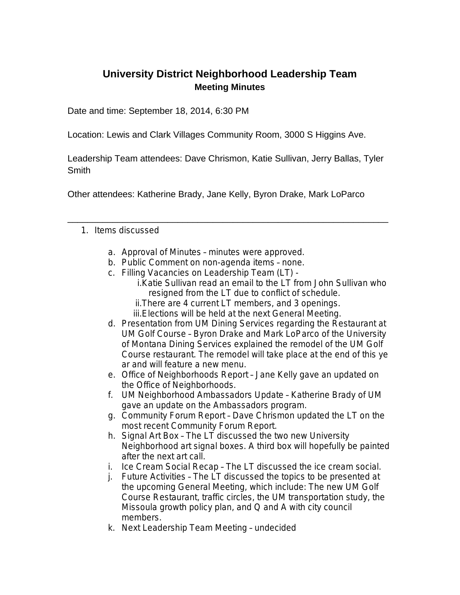## **University District Neighborhood Leadership Team Meeting Minutes**

Date and time: September 18, 2014, 6:30 PM

Location: Lewis and Clark Villages Community Room, 3000 S Higgins Ave.

Leadership Team attendees: Dave Chrismon, Katie Sullivan, Jerry Ballas, Tyler **Smith** 

\_\_\_\_\_\_\_\_\_\_\_\_\_\_\_\_\_\_\_\_\_\_\_\_\_\_\_\_\_\_\_\_\_\_\_\_\_\_\_\_\_\_\_\_\_\_\_\_\_\_\_\_\_\_\_\_\_\_\_\_\_\_\_\_

Other attendees: Katherine Brady, Jane Kelly, Byron Drake, Mark LoParco

## 1. Items discussed

- a. Approval of Minutes minutes were approved.
- b. Public Comment on non-agenda items none.
- c. Filling Vacancies on Leadership Team (LT)
	- i.Katie Sullivan read an email to the LT from John Sullivan who resigned from the LT due to conflict of schedule.
	- ii.There are 4 current LT members, and 3 openings.
	- iii.Elections will be held at the next General Meeting.
- d. Presentation from UM Dining Services regarding the Restaurant at UM Golf Course – Byron Drake and Mark LoParco of the University of Montana Dining Services explained the remodel of the UM Golf Course restaurant. The remodel will take place at the end of this ye ar and will feature a new menu.
- e. Office of Neighborhoods Report Jane Kelly gave an updated on the Office of Neighborhoods.
- f. UM Neighborhood Ambassadors Update Katherine Brady of UM gave an update on the Ambassadors program.
- g. Community Forum Report Dave Chrismon updated the LT on the most recent Community Forum Report.
- h. Signal Art Box The LT discussed the two new University Neighborhood art signal boxes. A third box will hopefully be painted after the next art call.
- i. Ice Cream Social Recap The LT discussed the ice cream social.
- j. Future Activities The LT discussed the topics to be presented at the upcoming General Meeting, which include: The new UM Golf Course Restaurant, traffic circles, the UM transportation study, the Missoula growth policy plan, and Q and A with city council members.
- k. Next Leadership Team Meeting undecided